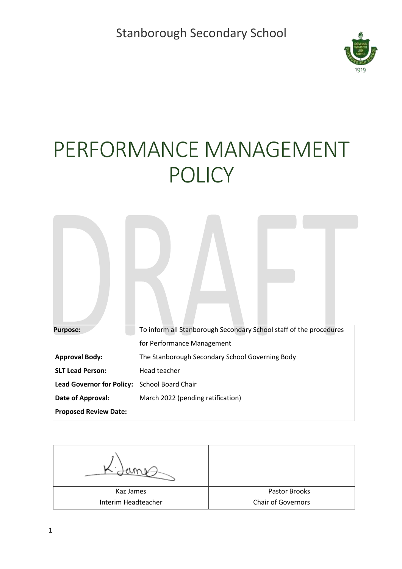

# PERFORMANCE MANAGEMENT POLICY

| <b>Purpose:</b>                  | To inform all Stanborough Secondary School staff of the procedures |  |  |  |  |  |  |
|----------------------------------|--------------------------------------------------------------------|--|--|--|--|--|--|
|                                  | for Performance Management                                         |  |  |  |  |  |  |
| <b>Approval Body:</b>            | The Stanborough Secondary School Governing Body                    |  |  |  |  |  |  |
| <b>SLT Lead Person:</b>          | Head teacher                                                       |  |  |  |  |  |  |
| <b>Lead Governor for Policy:</b> | School Board Chair                                                 |  |  |  |  |  |  |
| Date of Approval:                | March 2022 (pending ratification)                                  |  |  |  |  |  |  |
| <b>Proposed Review Date:</b>     |                                                                    |  |  |  |  |  |  |

Kaz James Interim Headteacher Pastor Brooks Chair of Governors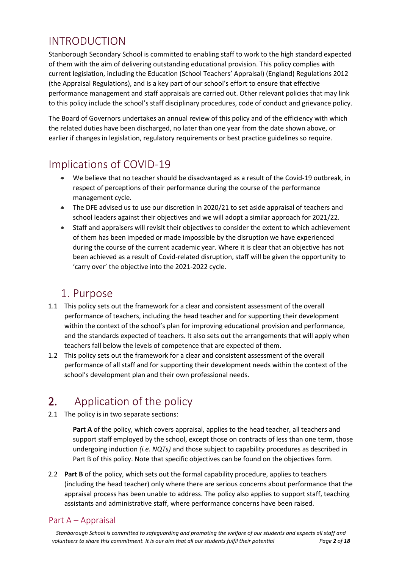# INTRODUCTION

Stanborough Secondary School is committed to enabling staff to work to the high standard expected of them with the aim of delivering outstanding educational provision. This policy complies with current legislation, including the Education (School Teachers' Appraisal) (England) Regulations 2012 (the Appraisal Regulations), and is a key part of our school's effort to ensure that effective performance management and staff appraisals are carried out. Other relevant policies that may link to this policy include the school's staff disciplinary procedures, code of conduct and grievance policy.

The Board of Governors undertakes an annual review of this policy and of the efficiency with which the related duties have been discharged, no later than one year from the date shown above, or earlier if changes in legislation, regulatory requirements or best practice guidelines so require.

### Implications of COVID-19

- We believe that no teacher should be disadvantaged as a result of the Covid-19 outbreak, in respect of perceptions of their performance during the course of the performance management cycle.
- The DFE advised us to use our discretion in 2020/21 to set aside appraisal of teachers and school leaders against their objectives and we will adopt a similar approach for 2021/22.
- Staff and appraisers will revisit their objectives to consider the extent to which achievement of them has been impeded or made impossible by the disruption we have experienced during the course of the current academic year. Where it is clear that an objective has not been achieved as a result of Covid-related disruption, staff will be given the opportunity to 'carry over' the objective into the 2021-2022 cycle.

### 1. Purpose

- 1.1 This policy sets out the framework for a clear and consistent assessment of the overall performance of teachers, including the head teacher and for supporting their development within the context of the school's plan for improving educational provision and performance, and the standards expected of teachers. It also sets out the arrangements that will apply when teachers fall below the levels of competence that are expected of them.
- 1.2 This policy sets out the framework for a clear and consistent assessment of the overall performance of all staff and for supporting their development needs within the context of the school's development plan and their own professional needs.

# 2. Application of the policy

2.1 The policy is in two separate sections:

Part A of the policy, which covers appraisal, applies to the head teacher, all teachers and support staff employed by the school, except those on contracts of less than one term, those undergoing induction *(i.e. NQTs)* and those subject to capability procedures as described in Part B of this policy. Note that specific objectives can be found on the objectives form.

2.2 **Part B** of the policy, which sets out the formal capability procedure, applies to teachers (including the head teacher) only where there are serious concerns about performance that the appraisal process has been unable to address. The policy also applies to support staff, teaching assistants and administrative staff, where performance concerns have been raised.

### Part A – Appraisal

*Stanborough School is committed to safeguarding and promoting the welfare of our students and expects all staff and volunteers to share this commitment. It is our aim that all our students fulfil their potential Page 2 of 18*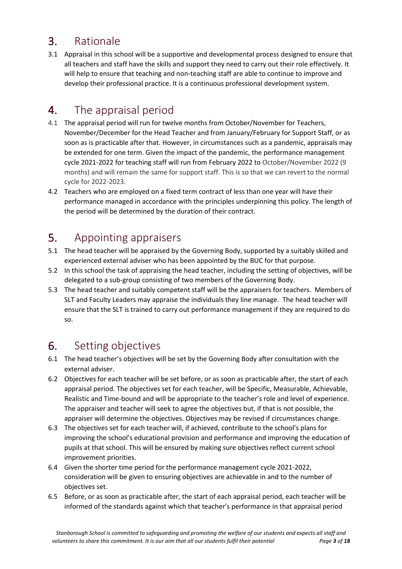# 3. Rationale

3.1 Appraisal in this school will be a supportive and developmental process designed to ensure that all teachers and staff have the skills and support they need to carry out their role effectively. It will help to ensure that teaching and non-teaching staff are able to continue to improve and develop their professional practice. It is a continuous professional development system.

# 4. The appraisal period

- 4.1 The appraisal period will run for twelve months from October/November for Teachers, November/December for the Head Teacher and from January/February for Support Staff, or as soon as is practicable after that. However, in circumstances such as a pandemic, appraisals may be extended for one term. Given the impact of the pandemic, the performance management cycle 2021-2022 for teaching staff will run from February 2022 to October/November 2022 (9 months) and will remain the same for support staff. This is so that we can revert to the normal cycle for 2022-2023.
- 4.2 Teachers who are employed on a fixed term contract of less than one year will have their performance managed in accordance with the principles underpinning this policy. The length of the period will be determined by the duration of their contract.

### 5. Appointing appraisers

- 5.1 The head teacher will be appraised by the Governing Body, supported by a suitably skilled and experienced external adviser who has been appointed by the BUC for that purpose.
- 5.2 In this school the task of appraising the head teacher, including the setting of objectives, will be delegated to a sub-group consisting of two members of the Governing Body.
- 5.3 The head teacher and suitably competent staff will be the appraisers for teachers. Members of SLT and Faculty Leaders may appraise the individuals they line manage. The head teacher will ensure that the SLT is trained to carry out performance management if they are required to do so.

# 6. Setting objectives

- 6.1 The head teacher's objectives will be set by the Governing Body after consultation with the external adviser.
- 6.2 Objectives for each teacher will be set before, or as soon as practicable after, the start of each appraisal period. The objectives set for each teacher, will be Specific, Measurable, Achievable, Realistic and Time-bound and will be appropriate to the teacher's role and level of experience. The appraiser and teacher will seek to agree the objectives but, if that is not possible, the appraiser will determine the objectives. Objectives may be revised if circumstances change.
- 6.3 The objectives set for each teacher will, if achieved, contribute to the school's plans for improving the school's educational provision and performance and improving the education of pupils at that school. This will be ensured by making sure objectives reflect current school improvement priorities.
- 6.4 Given the shorter time period for the performance management cycle 2021-2022, consideration will be given to ensuring objectives are achievable in and to the number of objectives set.
- 6.5 Before, or as soon as practicable after, the start of each appraisal period, each teacher will be informed of the standards against which that teacher's performance in that appraisal period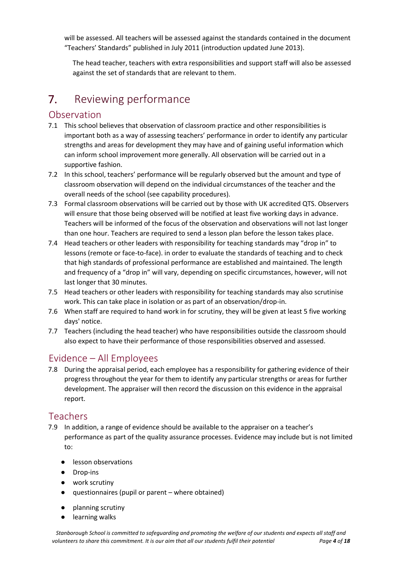will be assessed. All teachers will be assessed against the standards contained in the document "Teachers' Standards" published in July 2011 (introduction updated June 2013).

The head teacher, teachers with extra responsibilities and support staff will also be assessed against the set of standards that are relevant to them.

# 7. Reviewing performance

### Observation

- 7.1 This school believes that observation of classroom practice and other responsibilities is important both as a way of assessing teachers' performance in order to identify any particular strengths and areas for development they may have and of gaining useful information which can inform school improvement more generally. All observation will be carried out in a supportive fashion.
- 7.2 In this school, teachers' performance will be regularly observed but the amount and type of classroom observation will depend on the individual circumstances of the teacher and the overall needs of the school (see capability procedures).
- 7.3 Formal classroom observations will be carried out by those with UK accredited QTS. Observers will ensure that those being observed will be notified at least five working days in advance. Teachers will be informed of the focus of the observation and observations will not last longer than one hour. Teachers are required to send a lesson plan before the lesson takes place.
- 7.4 Head teachers or other leaders with responsibility for teaching standards may "drop in" to lessons (remote or face-to-face). in order to evaluate the standards of teaching and to check that high standards of professional performance are established and maintained. The length and frequency of a "drop in" will vary, depending on specific circumstances, however, will not last longer that 30 minutes.
- 7.5 Head teachers or other leaders with responsibility for teaching standards may also scrutinise work. This can take place in isolation or as part of an observation/drop-in.
- 7.6 When staff are required to hand work in for scrutiny, they will be given at least 5 five working days' notice.
- 7.7 Teachers (including the head teacher) who have responsibilities outside the classroom should also expect to have their performance of those responsibilities observed and assessed.

### Evidence – All Employees

7.8 During the appraisal period, each employee has a responsibility for gathering evidence of their progress throughout the year for them to identify any particular strengths or areas for further development. The appraiser will then record the discussion on this evidence in the appraisal report.

### Teachers

- 7.9 In addition, a range of evidence should be available to the appraiser on a teacher's performance as part of the quality assurance processes. Evidence may include but is not limited to:
	- lesson observations
	- Drop-ins
	- work scrutiny
	- questionnaires (pupil or parent where obtained)
	- planning scrutiny
	- learning walks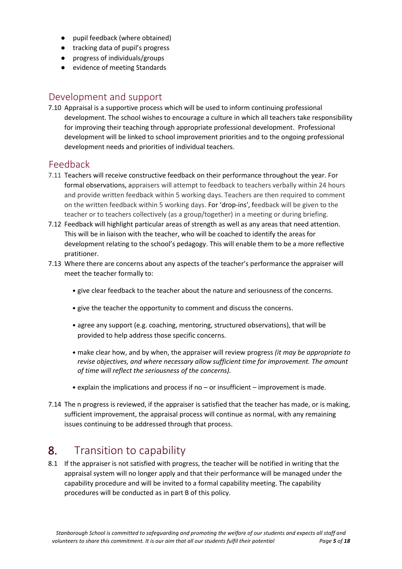- pupil feedback (where obtained)
- tracking data of pupil's progress
- progress of individuals/groups
- evidence of meeting Standards

### Development and support

7.10 Appraisal is a supportive process which will be used to inform continuing professional development. The school wishes to encourage a culture in which all teachers take responsibility for improving their teaching through appropriate professional development. Professional development will be linked to school improvement priorities and to the ongoing professional development needs and priorities of individual teachers.

### Feedback

- 7.11 Teachers will receive constructive feedback on their performance throughout the year. For formal observations, appraisers will attempt to feedback to teachers verbally within 24 hours and provide written feedback within 5 working days. Teachers are then required to comment on the written feedback within 5 working days. For 'drop-ins', feedback will be given to the teacher or to teachers collectively (as a group/together) in a meeting or during briefing.
- 7.12 Feedback will highlight particular areas of strength as well as any areas that need attention. This will be in liaison with the teacher, who will be coached to identify the areas for development relating to the school's pedagogy. This will enable them to be a more reflective pratitioner.
- 7.13 Where there are concerns about any aspects of the teacher's performance the appraiser will meet the teacher formally to:
	- give clear feedback to the teacher about the nature and seriousness of the concerns.
	- give the teacher the opportunity to comment and discuss the concerns.
	- agree any support (e.g. coaching, mentoring, structured observations), that will be provided to help address those specific concerns.
	- make clear how, and by when, the appraiser will review progress *(it may be appropriate to revise objectives, and where necessary allow sufficient time for improvement. The amount of time will reflect the seriousness of the concerns).*
	- explain the implications and process if no or insufficient improvement is made.
- 7.14 The n progress is reviewed, if the appraiser is satisfied that the teacher has made, or is making, sufficient improvement, the appraisal process will continue as normal, with any remaining issues continuing to be addressed through that process.

### **8.** Transition to capability

8.1 If the appraiser is not satisfied with progress, the teacher will be notified in writing that the appraisal system will no longer apply and that their performance will be managed under the capability procedure and will be invited to a formal capability meeting. The capability procedures will be conducted as in part B of this policy.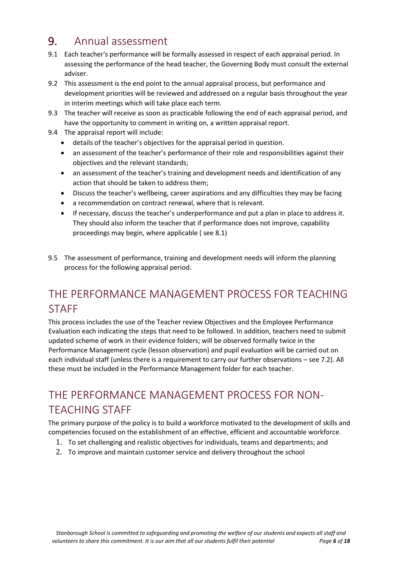### 9. Annual assessment

- 9.1 Each teacher's performance will be formally assessed in respect of each appraisal period. In assessing the performance of the head teacher, the Governing Body must consult the external adviser.
- 9.2 This assessment is the end point to the annual appraisal process, but performance and development priorities will be reviewed and addressed on a regular basis throughout the year in interim meetings which will take place each term.
- 9.3 The teacher will receive as soon as practicable following the end of each appraisal period, and have the opportunity to comment in writing on, a written appraisal report.
- 9.4 The appraisal report will include:
	- details of the teacher's objectives for the appraisal period in question.
	- an assessment of the teacher's performance of their role and responsibilities against their objectives and the relevant standards;
	- an assessment of the teacher's training and development needs and identification of any action that should be taken to address them;
	- Discuss the teacher's wellbeing, career aspirations and any difficulties they may be facing
	- a recommendation on contract renewal, where that is relevant.
	- If necessary, discuss the teacher's underperformance and put a plan in place to address it. They should also inform the teacher that if performance does not improve, capability proceedings may begin, where applicable ( see 8.1)
- 9.5 The assessment of performance, training and development needs will inform the planning process for the following appraisal period.

### THE PERFORMANCE MANAGEMENT PROCESS FOR TEACHING **STAFF**

This process includes the use of the Teacher review Objectives and the Employee Performance Evaluation each indicating the steps that need to be followed. In addition, teachers need to submit updated scheme of work in their evidence folders; will be observed formally twice in the Performance Management cycle (lesson observation) and pupil evaluation will be carried out on each individual staff (unless there is a requirement to carry our further observations – see 7.2). All these must be included in the Performance Management folder for each teacher.

### THE PERFORMANCE MANAGEMENT PROCESS FOR NON-TEACHING STAFF

The primary purpose of the policy is to build a workforce motivated to the development of skills and competencies focused on the establishment of an effective, efficient and accountable workforce.

- 1. To set challenging and realistic objectives for individuals, teams and departments; and
- 2. To improve and maintain customer service and delivery throughout the school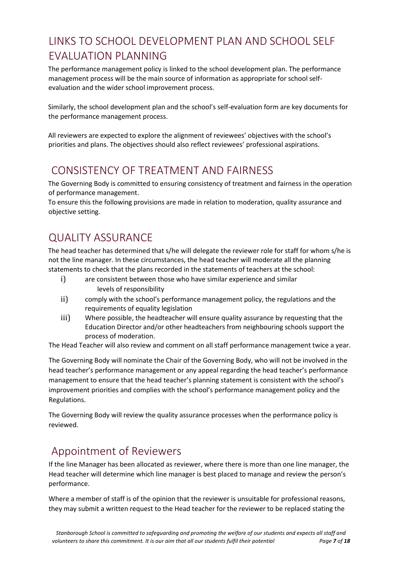# LINKS TO SCHOOL DEVELOPMENT PLAN AND SCHOOL SELF EVALUATION PLANNING

The performance management policy is linked to the school development plan. The performance management process will be the main source of information as appropriate for school selfevaluation and the wider school improvement process.

Similarly, the school development plan and the school's self-evaluation form are key documents for the performance management process.

All reviewers are expected to explore the alignment of reviewees' objectives with the school's priorities and plans. The objectives should also reflect reviewees' professional aspirations.

### CONSISTENCY OF TREATMENT AND FAIRNESS

The Governing Body is committed to ensuring consistency of treatment and fairness in the operation of performance management.

To ensure this the following provisions are made in relation to moderation, quality assurance and objective setting.

### QUALITY ASSURANCE

The head teacher has determined that s/he will delegate the reviewer role for staff for whom s/he is not the line manager. In these circumstances, the head teacher will moderate all the planning statements to check that the plans recorded in the statements of teachers at the school:

- i) are consistent between those who have similar experience and similar levels of responsibility
- ii) comply with the school's performance management policy, the regulations and the requirements of equality legislation
- iii) Where possible, the headteacher will ensure quality assurance by requesting that the Education Director and/or other headteachers from neighbouring schools support the process of moderation.

The Head Teacher will also review and comment on all staff performance management twice a year.

The Governing Body will nominate the Chair of the Governing Body, who will not be involved in the head teacher's performance management or any appeal regarding the head teacher's performance management to ensure that the head teacher's planning statement is consistent with the school's improvement priorities and complies with the school's performance management policy and the Regulations.

The Governing Body will review the quality assurance processes when the performance policy is reviewed.

### Appointment of Reviewers

If the line Manager has been allocated as reviewer, where there is more than one line manager, the Head teacher will determine which line manager is best placed to manage and review the person's performance.

Where a member of staff is of the opinion that the reviewer is unsuitable for professional reasons, they may submit a written request to the Head teacher for the reviewer to be replaced stating the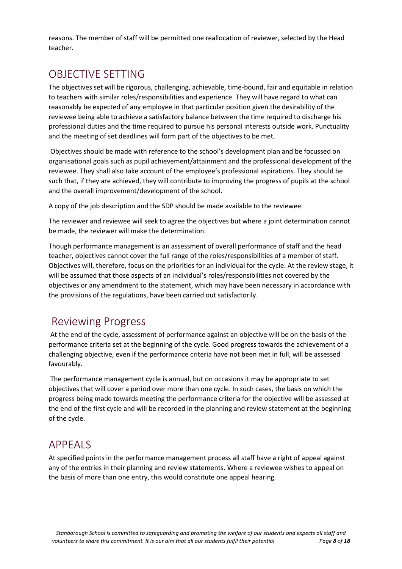reasons. The member of staff will be permitted one reallocation of reviewer, selected by the Head teacher.

### OBJECTIVE SETTING

The objectives set will be rigorous, challenging, achievable, time-bound, fair and equitable in relation to teachers with similar roles/responsibilities and experience. They will have regard to what can reasonably be expected of any employee in that particular position given the desirability of the reviewee being able to achieve a satisfactory balance between the time required to discharge his professional duties and the time required to pursue his personal interests outside work. Punctuality and the meeting of set deadlines will form part of the objectives to be met.

Objectives should be made with reference to the school's development plan and be focussed on organisational goals such as pupil achievement/attainment and the professional development of the reviewee. They shall also take account of the employee's professional aspirations. They should be such that, if they are achieved, they will contribute to improving the progress of pupils at the school and the overall improvement/development of the school.

A copy of the job description and the SDP should be made available to the reviewee.

The reviewer and reviewee will seek to agree the objectives but where a joint determination cannot be made, the reviewer will make the determination.

Though performance management is an assessment of overall performance of staff and the head teacher, objectives cannot cover the full range of the roles/responsibilities of a member of staff. Objectives will, therefore, focus on the priorities for an individual for the cycle. At the review stage, it will be assumed that those aspects of an individual's roles/responsibilities not covered by the objectives or any amendment to the statement, which may have been necessary in accordance with the provisions of the regulations, have been carried out satisfactorily.

### Reviewing Progress

At the end of the cycle, assessment of performance against an objective will be on the basis of the performance criteria set at the beginning of the cycle. Good progress towards the achievement of a challenging objective, even if the performance criteria have not been met in full, will be assessed favourably.

The performance management cycle is annual, but on occasions it may be appropriate to set objectives that will cover a period over more than one cycle. In such cases, the basis on which the progress being made towards meeting the performance criteria for the objective will be assessed at the end of the first cycle and will be recorded in the planning and review statement at the beginning of the cycle.

### APPEALS

At specified points in the performance management process all staff have a right of appeal against any of the entries in their planning and review statements. Where a reviewee wishes to appeal on the basis of more than one entry, this would constitute one appeal hearing.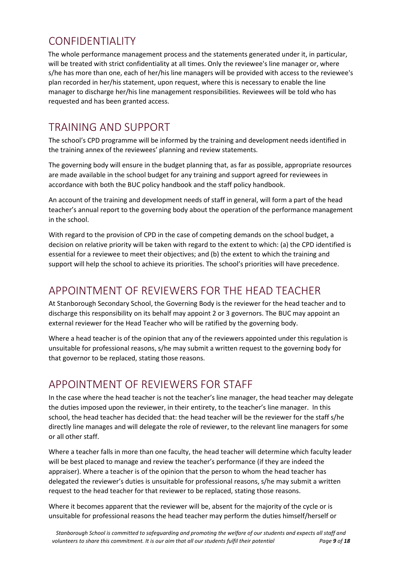### CONFIDENTIALITY

The whole performance management process and the statements generated under it, in particular, will be treated with strict confidentiality at all times. Only the reviewee's line manager or, where s/he has more than one, each of her/his line managers will be provided with access to the reviewee's plan recorded in her/his statement, upon request, where this is necessary to enable the line manager to discharge her/his line management responsibilities. Reviewees will be told who has requested and has been granted access.

### TRAINING AND SUPPORT

The school's CPD programme will be informed by the training and development needs identified in the training annex of the reviewees' planning and review statements.

The governing body will ensure in the budget planning that, as far as possible, appropriate resources are made available in the school budget for any training and support agreed for reviewees in accordance with both the BUC policy handbook and the staff policy handbook.

An account of the training and development needs of staff in general, will form a part of the head teacher's annual report to the governing body about the operation of the performance management in the school.

With regard to the provision of CPD in the case of competing demands on the school budget, a decision on relative priority will be taken with regard to the extent to which: (a) the CPD identified is essential for a reviewee to meet their objectives; and (b) the extent to which the training and support will help the school to achieve its priorities. The school's priorities will have precedence.

### APPOINTMENT OF REVIEWERS FOR THE HEAD TEACHER

At Stanborough Secondary School, the Governing Body is the reviewer for the head teacher and to discharge this responsibility on its behalf may appoint 2 or 3 governors. The BUC may appoint an external reviewer for the Head Teacher who will be ratified by the governing body.

Where a head teacher is of the opinion that any of the reviewers appointed under this regulation is unsuitable for professional reasons, s/he may submit a written request to the governing body for that governor to be replaced, stating those reasons.

### APPOINTMENT OF REVIEWERS FOR STAFF

In the case where the head teacher is not the teacher's line manager, the head teacher may delegate the duties imposed upon the reviewer, in their entirety, to the teacher's line manager. In this school, the head teacher has decided that: the head teacher will be the reviewer for the staff s/he directly line manages and will delegate the role of reviewer, to the relevant line managers for some or all other staff.

Where a teacher falls in more than one faculty, the head teacher will determine which faculty leader will be best placed to manage and review the teacher's performance (if they are indeed the appraiser). Where a teacher is of the opinion that the person to whom the head teacher has delegated the reviewer's duties is unsuitable for professional reasons, s/he may submit a written request to the head teacher for that reviewer to be replaced, stating those reasons.

Where it becomes apparent that the reviewer will be, absent for the majority of the cycle or is unsuitable for professional reasons the head teacher may perform the duties himself/herself or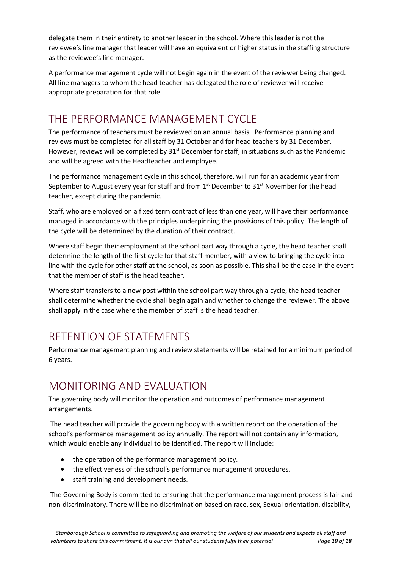delegate them in their entirety to another leader in the school*.* Where this leader is not the reviewee's line manager that leader will have an equivalent or higher status in the staffing structure as the reviewee's line manager.

A performance management cycle will not begin again in the event of the reviewer being changed. All line managers to whom the head teacher has delegated the role of reviewer will receive appropriate preparation for that role.

### THE PERFORMANCE MANAGEMENT CYCLE

The performance of teachers must be reviewed on an annual basis. Performance planning and reviews must be completed for all staff by 31 October and for head teachers by 31 December. However, reviews will be completed by  $31<sup>st</sup>$  December for staff, in situations such as the Pandemic and will be agreed with the Headteacher and employee.

The performance management cycle in this school, therefore, will run for an academic year from September to August every year for staff and from  $1<sup>st</sup>$  December to  $31<sup>st</sup>$  November for the head teacher, except during the pandemic.

Staff, who are employed on a fixed term contract of less than one year, will have their performance managed in accordance with the principles underpinning the provisions of this policy. The length of the cycle will be determined by the duration of their contract.

Where staff begin their employment at the school part way through a cycle, the head teacher shall determine the length of the first cycle for that staff member, with a view to bringing the cycle into line with the cycle for other staff at the school, as soon as possible. This shall be the case in the event that the member of staff is the head teacher.

Where staff transfers to a new post within the school part way through a cycle, the head teacher shall determine whether the cycle shall begin again and whether to change the reviewer. The above shall apply in the case where the member of staff is the head teacher.

# RETENTION OF STATEMENTS

Performance management planning and review statements will be retained for a minimum period of 6 years.

### MONITORING AND EVALUATION

The governing body will monitor the operation and outcomes of performance management arrangements.

The head teacher will provide the governing body with a written report on the operation of the school's performance management policy annually. The report will not contain any information, which would enable any individual to be identified. The report will include:

- the operation of the performance management policy.
- the effectiveness of the school's performance management procedures.
- staff training and development needs.

The Governing Body is committed to ensuring that the performance management process is fair and non-discriminatory. There will be no discrimination based on race, sex, Sexual orientation, disability,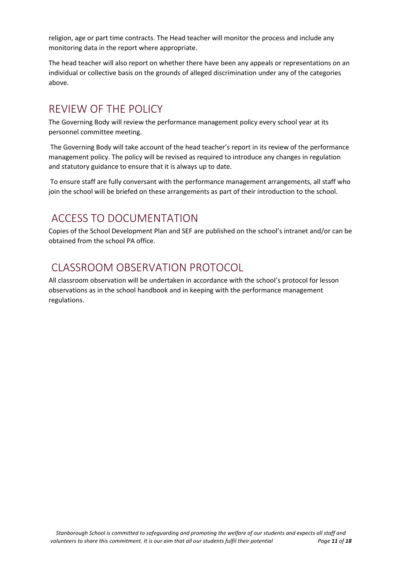religion, age or part time contracts. The Head teacher will monitor the process and include any monitoring data in the report where appropriate.

The head teacher will also report on whether there have been any appeals or representations on an individual or collective basis on the grounds of alleged discrimination under any of the categories above.

### REVIEW OF THE POLICY

The Governing Body will review the performance management policy every school year at its personnel committee meeting.

The Governing Body will take account of the head teacher's report in its review of the performance management policy. The policy will be revised as required to introduce any changes in regulation and statutory guidance to ensure that it is always up to date.

To ensure staff are fully conversant with the performance management arrangements, all staff who join the school will be briefed on these arrangements as part of their introduction to the school.

### ACCESS TO DOCUMENTATION

Copies of the School Development Plan and SEF are published on the school's intranet and/or can be obtained from the school PA office.

### CLASSROOM OBSERVATION PROTOCOL

All classroom observation will be undertaken in accordance with the school's protocol for lesson observations as in the school handbook and in keeping with the performance management regulations.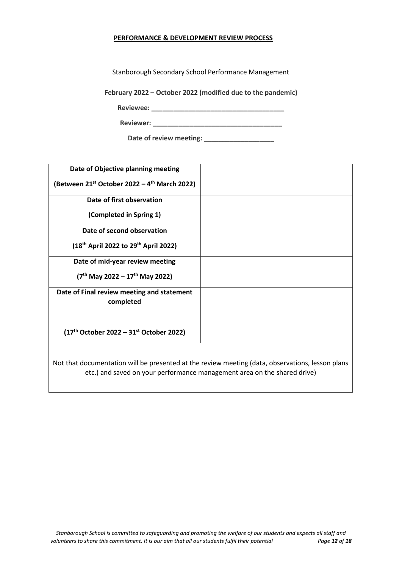#### **PERFORMANCE & DEVELOPMENT REVIEW PROCESS**

Stanborough Secondary School Performance Management

**February 2022 – October 2022 (modified due to the pandemic)** 

**Reviewee: \_\_\_\_\_\_\_\_\_\_\_\_\_\_\_\_\_\_\_\_\_\_\_\_\_\_\_\_\_\_\_\_\_\_\_\_**

**Reviewer: \_\_\_\_\_\_\_\_\_\_\_\_\_\_\_\_\_\_\_\_\_\_\_\_\_\_\_\_\_\_\_\_\_\_\_**

| Date of review meeting: |  |
|-------------------------|--|
|-------------------------|--|

| Date of Objective planning meeting                            |                                                                                                                                                                              |
|---------------------------------------------------------------|------------------------------------------------------------------------------------------------------------------------------------------------------------------------------|
| (Between $21^{st}$ October 2022 – 4 <sup>th</sup> March 2022) |                                                                                                                                                                              |
| Date of first observation                                     |                                                                                                                                                                              |
| (Completed in Spring 1)                                       |                                                                                                                                                                              |
| Date of second observation                                    |                                                                                                                                                                              |
| (18 <sup>th</sup> April 2022 to 29 <sup>th</sup> April 2022)  |                                                                                                                                                                              |
| Date of mid-year review meeting                               |                                                                                                                                                                              |
| $(7th$ May 2022 – 17 <sup>th</sup> May 2022)                  |                                                                                                                                                                              |
| Date of Final review meeting and statement<br>completed       |                                                                                                                                                                              |
| $(17th October 2022 – 31st October 2022)$                     |                                                                                                                                                                              |
|                                                               |                                                                                                                                                                              |
|                                                               | Not that documentation will be presented at the review meeting (data, observations, lesson plans<br>etc.) and saved on your performance management area on the shared drive) |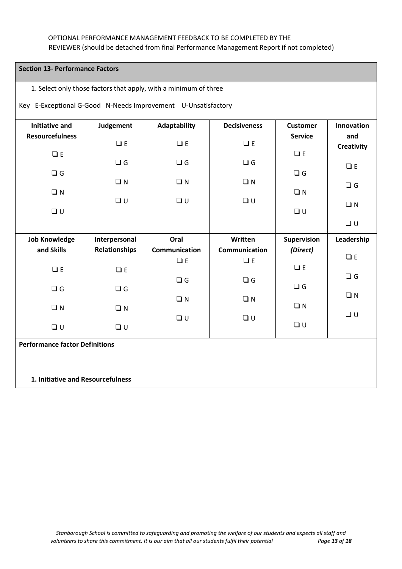#### OPTIONAL PERFORMANCE MANAGEMENT FEEDBACK TO BE COMPLETED BY THE REVIEWER (should be detached from final Performance Management Report if not completed)

#### **Section 13- Performance Factors**

#### 1. Select only those factors that apply, with a minimum of three

#### Key E-Exceptional G-Good N-Needs Improvement U-Unsatisfactory

| <b>Initiative and</b><br><b>Resourcefulness</b> | Judgement            | Adaptability            | <b>Decisiveness</b>     | <b>Customer</b><br><b>Service</b> | Innovation<br>and |  |  |
|-------------------------------------------------|----------------------|-------------------------|-------------------------|-----------------------------------|-------------------|--|--|
|                                                 | $\Box E$             | $\Box E$                | $\Box E$                |                                   | Creativity        |  |  |
| $\square$ E                                     |                      |                         |                         | $\square$ E                       |                   |  |  |
| $\Box$ G                                        | $\Box$ G             | $\Box$ G                | $\Box$ G                | $\Box$ G                          | $\Box E$          |  |  |
|                                                 | $\Box N$             | $\Box N$                | $\Box N$                |                                   | $\Box$ G          |  |  |
| $\Box N$                                        |                      |                         |                         | $\Box$ N                          |                   |  |  |
| $\square$                                       | $\Box$ U             | $\Box$ U                | $\Box$                  | $\square \; \textsf{U}$           | $\Box N$          |  |  |
|                                                 |                      |                         |                         |                                   | $\Box$ U          |  |  |
|                                                 |                      |                         |                         |                                   |                   |  |  |
| <b>Job Knowledge</b>                            | Interpersonal        | Oral                    | Written                 | <b>Supervision</b>                | Leadership        |  |  |
| and Skills                                      | <b>Relationships</b> | Communication           | <b>Communication</b>    | (Direct)                          |                   |  |  |
|                                                 |                      | $\square$ E             | $\Box E$                |                                   | $\Box$ E          |  |  |
| $\square$ E                                     | $\Box E$             |                         |                         | $\square$ E                       |                   |  |  |
|                                                 |                      | $\Box$ G                | $\Box$ G                |                                   | $\Box$ G          |  |  |
| $\Box$ G                                        | $\Box$ G             |                         |                         | $\Box$ G                          |                   |  |  |
|                                                 |                      | $\Box$ N                | $\Box$ N                |                                   | $\square$<br>N    |  |  |
| $\Box N$                                        | $\Box N$             |                         |                         | $\Box N$                          | $\Box$ U          |  |  |
| $\Box$ U                                        | $\Box$ U             | $\square \; \textsf{U}$ | $\square \; \textsf{U}$ | $\square \; \textsf{U}$           |                   |  |  |
|                                                 |                      |                         |                         |                                   |                   |  |  |
| <b>Performance factor Definitions</b>           |                      |                         |                         |                                   |                   |  |  |
|                                                 |                      |                         |                         |                                   |                   |  |  |

#### **1. Initiative and Resourcefulness**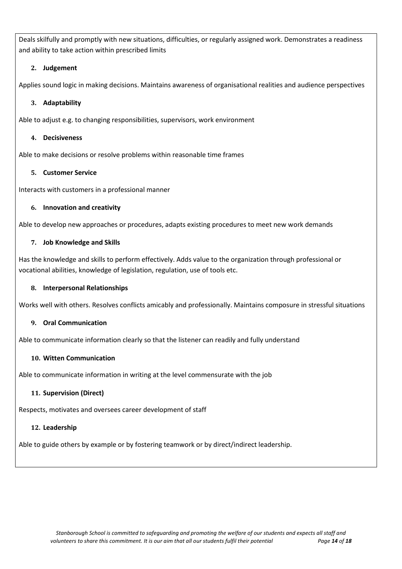Deals skilfully and promptly with new situations, difficulties, or regularly assigned work. Demonstrates a readiness and ability to take action within prescribed limits

#### **2. Judgement**

Applies sound logic in making decisions. Maintains awareness of organisational realities and audience perspectives

#### **3. Adaptability**

Able to adjust e.g. to changing responsibilities, supervisors, work environment

#### **4. Decisiveness**

Able to make decisions or resolve problems within reasonable time frames

#### **5. Customer Service**

Interacts with customers in a professional manner

#### **6. Innovation and creativity**

Able to develop new approaches or procedures, adapts existing procedures to meet new work demands

#### **7. Job Knowledge and Skills**

Has the knowledge and skills to perform effectively. Adds value to the organization through professional or vocational abilities, knowledge of legislation, regulation, use of tools etc.

#### **8. Interpersonal Relationships**

Works well with others. Resolves conflicts amicably and professionally. Maintains composure in stressful situations

#### **9. Oral Communication**

Able to communicate information clearly so that the listener can readily and fully understand

#### **10. Witten Communication**

Able to communicate information in writing at the level commensurate with the job

#### **11. Supervision (Direct)**

Respects, motivates and oversees career development of staff

#### **12. Leadership**

Able to guide others by example or by fostering teamwork or by direct/indirect leadership.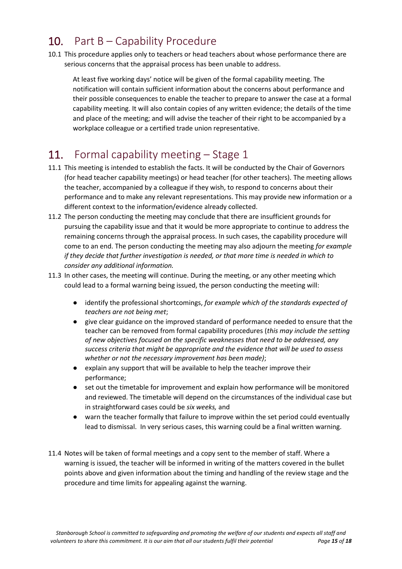# 10. Part B - Capability Procedure

10.1 This procedure applies only to teachers or head teachers about whose performance there are serious concerns that the appraisal process has been unable to address.

At least five working days' notice will be given of the formal capability meeting. The notification will contain sufficient information about the concerns about performance and their possible consequences to enable the teacher to prepare to answer the case at a formal capability meeting. It will also contain copies of any written evidence; the details of the time and place of the meeting; and will advise the teacher of their right to be accompanied by a workplace colleague or a certified trade union representative.

### 11. Formal capability meeting – Stage 1

- 11.1 This meeting is intended to establish the facts. It will be conducted by the Chair of Governors (for head teacher capability meetings) or head teacher (for other teachers)*.* The meeting allows the teacher, accompanied by a colleague if they wish, to respond to concerns about their performance and to make any relevant representations. This may provide new information or a different context to the information/evidence already collected.
- 11.2 The person conducting the meeting may conclude that there are insufficient grounds for pursuing the capability issue and that it would be more appropriate to continue to address the remaining concerns through the appraisal process. In such cases, the capability procedure will come to an end. The person conducting the meeting may also adjourn the meeting *for example if they decide that further investigation is needed, or that more time is needed in which to consider any additional information.*
- 11.3 In other cases, the meeting will continue. During the meeting, or any other meeting which could lead to a formal warning being issued, the person conducting the meeting will:
	- identify the professional shortcomings, *for example which of the standards expected of teachers are not being met*;
	- give clear guidance on the improved standard of performance needed to ensure that the teacher can be removed from formal capability procedures (*this may include the setting of new objectives focused on the specific weaknesses that need to be addressed, any success criteria that might be appropriate and the evidence that will be used to assess whether or not the necessary improvement has been made)*;
	- explain any support that will be available to help the teacher improve their performance;
	- set out the timetable for improvement and explain how performance will be monitored and reviewed. The timetable will depend on the circumstances of the individual case but in straightforward cases could be *six weeks,* and
	- warn the teacher formally that failure to improve within the set period could eventually lead to dismissal. In very serious cases, this warning could be a final written warning.
- 11.4 Notes will be taken of formal meetings and a copy sent to the member of staff. Where a warning is issued, the teacher will be informed in writing of the matters covered in the bullet points above and given information about the timing and handling of the review stage and the procedure and time limits for appealing against the warning.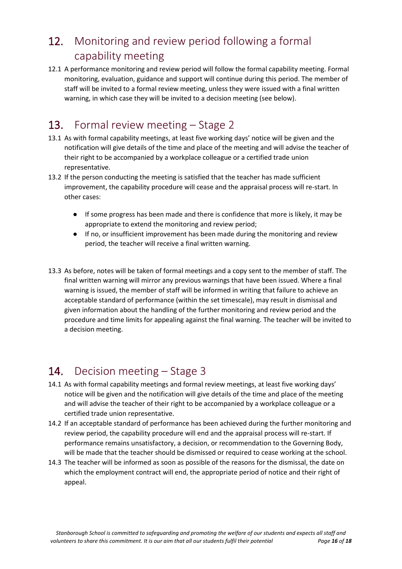# 12. Monitoring and review period following a formal capability meeting

12.1 A performance monitoring and review period will follow the formal capability meeting. Formal monitoring, evaluation, guidance and support will continue during this period. The member of staff will be invited to a formal review meeting, unless they were issued with a final written warning, in which case they will be invited to a decision meeting (see below).

# 13. Formal review meeting – Stage 2

- 13.1 As with formal capability meetings, at least five working days' notice will be given and the notification will give details of the time and place of the meeting and will advise the teacher of their right to be accompanied by a workplace colleague or a certified trade union representative.
- 13.2 If the person conducting the meeting is satisfied that the teacher has made sufficient improvement, the capability procedure will cease and the appraisal process will re-start. In other cases:
	- If some progress has been made and there is confidence that more is likely, it may be appropriate to extend the monitoring and review period;
	- If no, or insufficient improvement has been made during the monitoring and review period, the teacher will receive a final written warning.
- 13.3 As before, notes will be taken of formal meetings and a copy sent to the member of staff. The final written warning will mirror any previous warnings that have been issued. Where a final warning is issued, the member of staff will be informed in writing that failure to achieve an acceptable standard of performance (within the set timescale), may result in dismissal and given information about the handling of the further monitoring and review period and the procedure and time limits for appealing against the final warning. The teacher will be invited to a decision meeting.

# 14. Decision meeting – Stage 3

- 14.1 As with formal capability meetings and formal review meetings, at least five working days' notice will be given and the notification will give details of the time and place of the meeting and will advise the teacher of their right to be accompanied by a workplace colleague or a certified trade union representative.
- 14.2 If an acceptable standard of performance has been achieved during the further monitoring and review period, the capability procedure will end and the appraisal process will re-start. If performance remains unsatisfactory, a decision, or recommendation to the Governing Body, will be made that the teacher should be dismissed or required to cease working at the school.
- 14.3 The teacher will be informed as soon as possible of the reasons for the dismissal, the date on which the employment contract will end, the appropriate period of notice and their right of appeal.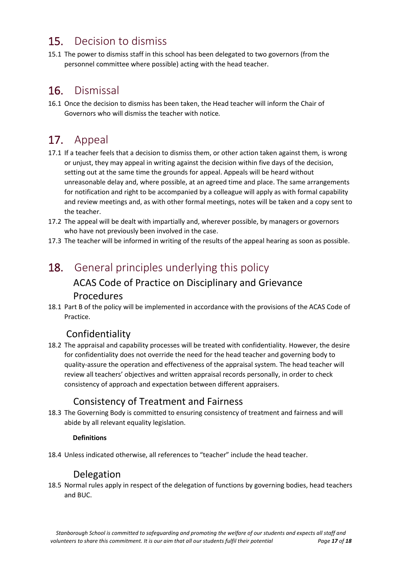# 15. Decision to dismiss

15.1 The power to dismiss staff in this school has been delegated to two governors (from the personnel committee where possible) acting with the head teacher.

### 16. Dismissal

16.1 Once the decision to dismiss has been taken, the Head teacher will inform the Chair of Governors who will dismiss the teacher with notice*.*

# 17. Appeal

- 17.1 If a teacher feels that a decision to dismiss them, or other action taken against them*,* is wrong or unjust, they may appeal in writing against the decision within five days of the decision, setting out at the same time the grounds for appeal. Appeals will be heard without unreasonable delay and, where possible, at an agreed time and place. The same arrangements for notification and right to be accompanied by a colleague will apply as with formal capability and review meetings and, as with other formal meetings, notes will be taken and a copy sent to the teacher.
- 17.2 The appeal will be dealt with impartially and, wherever possible, by managers or governors who have not previously been involved in the case.
- 17.3 The teacher will be informed in writing of the results of the appeal hearing as soon as possible.

### 18. General principles underlying this policy

### ACAS Code of Practice on Disciplinary and Grievance

#### Procedures

18.1 Part B of the policy will be implemented in accordance with the provisions of the ACAS Code of Practice.

### Confidentiality

18.2 The appraisal and capability processes will be treated with confidentiality. However, the desire for confidentiality does not override the need for the head teacher and governing body to quality-assure the operation and effectiveness of the appraisal system. The head teacher will review all teachers' objectives and written appraisal records personally, in order to check consistency of approach and expectation between different appraisers.

### Consistency of Treatment and Fairness

18.3 The Governing Body is committed to ensuring consistency of treatment and fairness and will abide by all relevant equality legislation.

#### **Definitions**

18.4 Unless indicated otherwise, all references to "teacher" include the head teacher.

### Delegation

18.5 Normal rules apply in respect of the delegation of functions by governing bodies, head teachers and BUC.